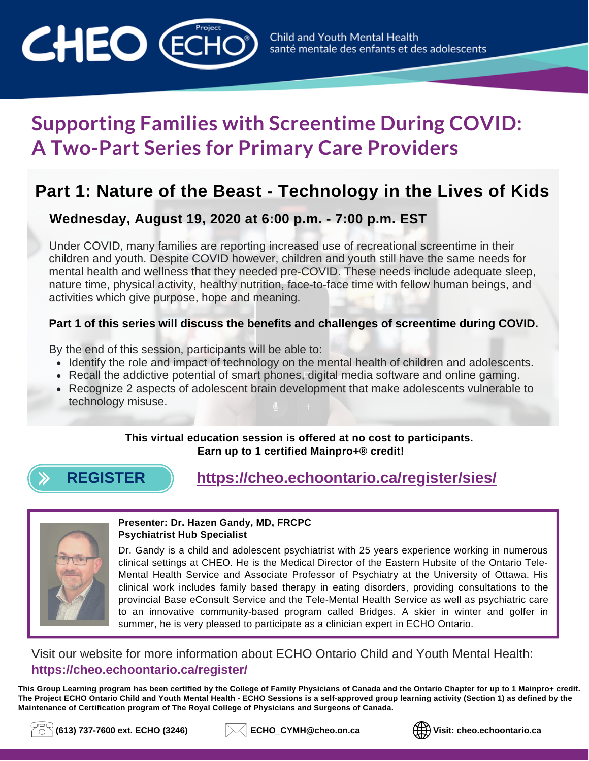

# **Supporting Families with Screentime During COVID: A Two-Part Series for Primary Care Providers**

# **Part 1: Nature of the Beast - Technology in the Lives of Kids**

# **Wednesday, August 19, 2020 at 6:00 p.m. - 7:00 p.m. EST**

Under COVID, many families are reporting increased use of recreational screentime in their children and youth. Despite COVID however, children and youth still have the same needs for mental health and wellness that they needed pre-COVID. These needs include adequate sleep, nature time, physical activity, healthy nutrition, face-to-face time with fellow human beings, and activities which give purpose, hope and meaning.

#### **Part 1 of this series will discuss the benefits and challenges of screentime during COVID.**

By the end of this session, participants will be able to:

- Identify the role and impact of technology on the mental health of children and adolescents.
- Recall the addictive potential of smart phones, digital media software and online gaming.
- Recognize 2 aspects of adolescent brain development that make adolescents vulnerable to technology misuse.

**This virtual education session is offered at no cost to participants. Earn up to 1 certified Mainpro+® credit!**



# **[REGISTER](https://cheo.echoontario.ca/register/sies/) <https://cheo.echoontario.ca/register/sies/>**



#### **Presenter: Dr. Hazen Gandy, MD, FRCPC Psychiatrist Hub Specialist**

Dr. Gandy is a child and adolescent psychiatrist with 25 years experience working in numerous clinical settings at CHEO. He is the Medical Director of the Eastern Hubsite of the Ontario Tele-Mental Health Service and Associate Professor of Psychiatry at the University of Ottawa. His clinical work includes family based therapy in eating disorders, providing consultations to the provincial Base eConsult Service and the Tele-Mental Health Service as well as psychiatric care to an innovative community-based program called Bridges. A skier in winter and golfer in summer, he is very pleased to participate as a clinician expert in ECHO Ontario.

### Visit our website for more information about ECHO Ontario Child and Youth Mental Health: **<https://cheo.echoontario.ca/register/>**

This Group Learning program has been certified by the College of Family Physicians of Canada and the Ontario Chapter for up to 1 Mainpro+ credit. The Project ECHO Ontario Child and Youth Mental Health - ECHO Sessions is a self-approved group learning activity (Section 1) as defined by the **Maintenance of Certification program of The Royal College of Physicians and Surgeons of Canada.**





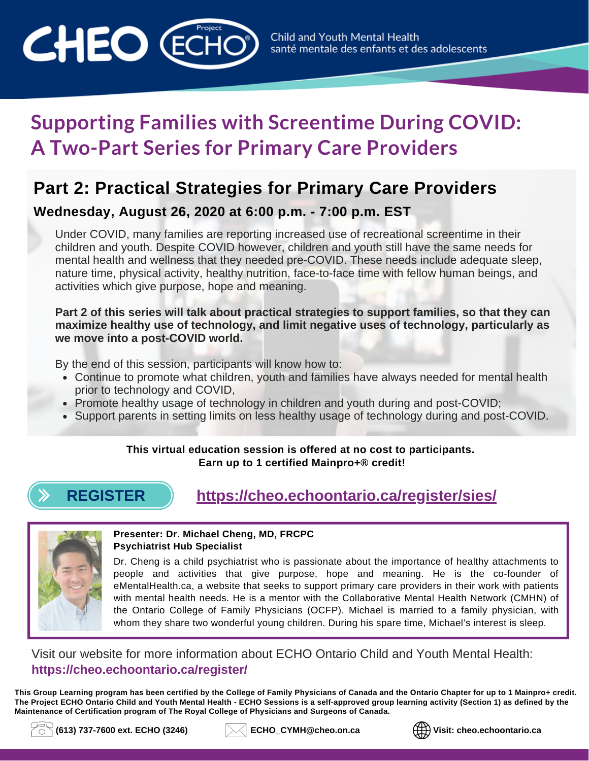

# **Supporting Families with Screentime During COVID: A Two-Part Series for Primary Care Providers**

# **Part 2: Practical Strategies for Primary Care Providers**

## **Wednesday, August 26, 2020 at 6:00 p.m. - 7:00 p.m. EST**

Under COVID, many families are reporting increased use of recreational screentime in their children and youth. Despite COVID however, children and youth still have the same needs for mental health and wellness that they needed pre-COVID. These needs include adequate sleep, nature time, physical activity, healthy nutrition, face-to-face time with fellow human beings, and activities which give purpose, hope and meaning.

#### **Part 2 of this series will talk about practical strategies to support families, so that they can maximize healthy use of technology, and limit negative uses of technology, particularly as we move into a post-COVID world.**

By the end of this session, participants will know how to:

- Continue to promote what children, youth and families have always needed for mental health prior to technology and COVID,
- Promote healthy usage of technology in children and youth during and post-COVID;
- Support parents in setting limits on less healthy usage of technology during and post-COVID.

#### **This virtual education session is offered at no cost to participants. Earn up to 1 certified Mainpro+® credit!**

# **[REGISTER](https://cheo.echoontario.ca/register/sies/) <https://cheo.echoontario.ca/register/sies/>**



#### **Presenter: Dr. Michael Cheng, MD, FRCPC Psychiatrist Hub Specialist**

Dr. Cheng is a child psychiatrist who is passionate about the importance of healthy attachments to people and activities that give purpose, hope and meaning. He is the co-founder of eMentalHealth.ca, a website that seeks to support primary care providers in their work with patients with mental health needs. He is a mentor with the Collaborative Mental Health Network (CMHN) of the Ontario College of Family Physicians (OCFP). Michael is married to a family physician, with whom they share two wonderful young children. During his spare time, Michael's interest is sleep.

## Visit our website for more information about ECHO Ontario Child and Youth Mental Health: **<https://cheo.echoontario.ca/register/>**

This Group Learning program has been certified by the College of Family Physicians of Canada and the Ontario Chapter for up to 1 Mainpro+ credit. The Project ECHO Ontario Child and Youth Mental Health - ECHO Sessions is a self-approved group learning activity (Section 1) as defined by the **Maintenance of Certification program of The Royal College of Physicians and Surgeons of Canada.**



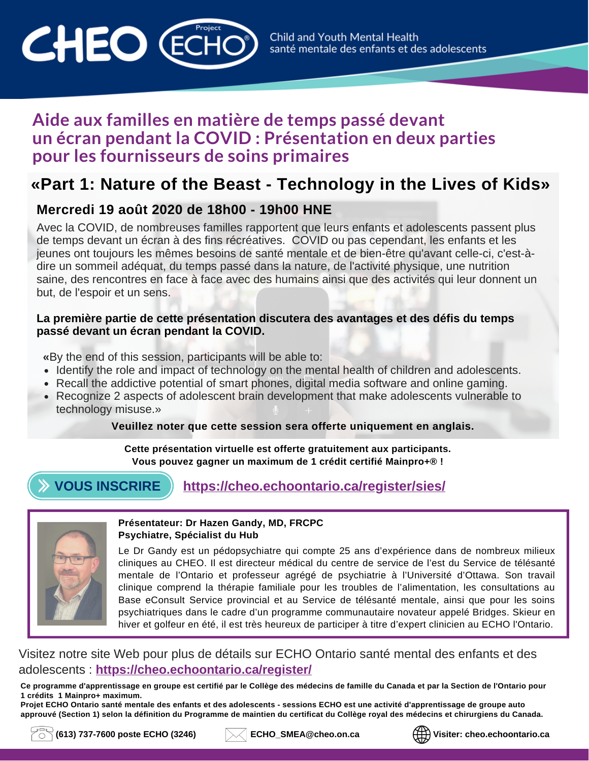

# **Aide aux familles en matière de temps passé devant un écran pendant la COVID : Présentation en deux parties pour les fournisseurs de soins primaires**

# **«Part 1: Nature of the Beast - Technology in the Lives of Kids»**

# **Mercredi 19 août 2020 de 18h00 - 19h00 HNE**

Avec la COVID, de nombreuses familles rapportent que leurs enfants et adolescents passent plus de temps devant un écran à des fins récréatives. COVID ou pas cependant, les enfants et les jeunes ont toujours les mêmes besoins de santé mentale et de bien-être qu'avant celle-ci, c'est-àdire un sommeil adéquat, du temps passé dans la nature, de l'activité physique, une nutrition saine, des rencontres en face à face avec des humains ainsi que des activités qui leur donnent un but, de l'espoir et un sens.

#### **La première partie de cette présentation discutera des avantages et des défis du temps passé devant un écran pendant la COVID.**

 **«**By the end of this session, participants will be able to:

- Identify the role and impact of technology on the mental health of children and adolescents.
- Recall the addictive potential of smart phones, digital media software and online gaming.
- Recognize 2 aspects of adolescent brain development that make adolescents vulnerable to technology misuse.»

#### **Veuillez noter que cette session sera offerte uniquement en anglais.**

**Cette présentation virtuelle est offerte gratuitement aux participants. Vous pouvez gagner un maximum de 1 crédit certifié Mainpro+® !**

# **VOUS [INSCRIRE](https://cheo.echoontario.ca/register/sies/) <https://cheo.echoontario.ca/register/sies/>**



#### **Présentateur: Dr Hazen Gandy, MD, FRCPC Psychiatre, Spécialist du Hub**

Le Dr Gandy est un pédopsychiatre qui compte 25 ans d'expérience dans de nombreux milieux cliniques au CHEO. Il est directeur médical du centre de service de l'est du Service de télésanté mentale de l'Ontario et professeur agrégé de psychiatrie à l'Université d'Ottawa. Son travail clinique comprend la thérapie familiale pour les troubles de l'alimentation, les consultations au Base eConsult Service provincial et au Service de télésanté mentale, ainsi que pour les soins psychiatriques dans le cadre d'un programme communautaire novateur appelé Bridges. Skieur en hiver et golfeur en été, il est très heureux de participer à titre d'expert clinicien au ECHO l'Ontario.

### Visitez notre site Web pour plus de détails sur ECHO Ontario santé mental des enfants et des adolescents : **<https://cheo.echoontario.ca/register/>**

Ce programme d'apprentissage en groupe est certifié par le Collège des médecins de famille du Canada et par la Section de l'Ontario pour **1 crédits 1 Mainpro+ maximum.**

Projet ECHO Ontario santé mentale des enfants et des adolescents - sessions ECHO est une activité d'apprentissage de groupe auto approuvé (Section 1) selon la définition du Programme de maintien du certificat du Collège royal des médecins et chirurgiens du Canada.